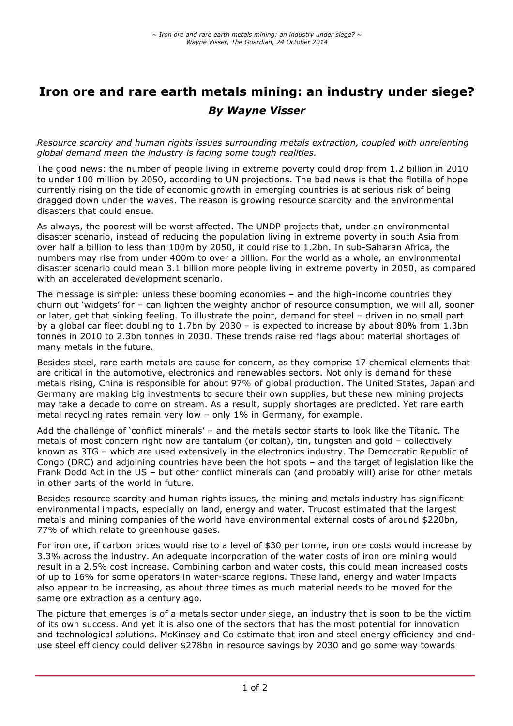# **Iron ore and rare earth metals mining: an industry under siege?** *By Wayne Visser*

*Resource scarcity and human rights issues surrounding metals extraction, coupled with unrelenting global demand mean the industry is facing some tough realities.*

The good news: the number of people living in extreme poverty could drop from 1.2 billion in 2010 to under 100 million by 2050, according to UN projections. The bad news is that the flotilla of hope currently rising on the tide of economic growth in emerging countries is at serious risk of being dragged down under the waves. The reason is growing resource scarcity and the environmental disasters that could ensue.

As always, the poorest will be worst affected. The UNDP projects that, under an environmental disaster scenario, instead of reducing the population living in extreme poverty in south Asia from over half a billion to less than 100m by 2050, it could rise to 1.2bn. In sub-Saharan Africa, the numbers may rise from under 400m to over a billion. For the world as a whole, an environmental disaster scenario could mean 3.1 billion more people living in extreme poverty in 2050, as compared with an accelerated development scenario.

The message is simple: unless these booming economies – and the high-income countries they churn out 'widgets' for – can lighten the weighty anchor of resource consumption, we will all, sooner or later, get that sinking feeling. To illustrate the point, demand for steel – driven in no small part by a global car fleet doubling to 1.7bn by 2030 – is expected to increase by about 80% from 1.3bn tonnes in 2010 to 2.3bn tonnes in 2030. These trends raise red flags about material shortages of many metals in the future.

Besides steel, rare earth metals are cause for concern, as they comprise 17 chemical elements that are critical in the automotive, electronics and renewables sectors. Not only is demand for these metals rising, China is responsible for about 97% of global production. The United States, Japan and Germany are making big investments to secure their own supplies, but these new mining projects may take a decade to come on stream. As a result, supply shortages are predicted. Yet rare earth metal recycling rates remain very low – only 1% in Germany, for example.

Add the challenge of 'conflict minerals' – and the metals sector starts to look like the Titanic. The metals of most concern right now are tantalum (or coltan), tin, tungsten and gold – collectively known as 3TG – which are used extensively in the electronics industry. The Democratic Republic of Congo (DRC) and adjoining countries have been the hot spots – and the target of legislation like the Frank Dodd Act in the US – but other conflict minerals can (and probably will) arise for other metals in other parts of the world in future.

Besides resource scarcity and human rights issues, the mining and metals industry has significant environmental impacts, especially on land, energy and water. Trucost estimated that the largest metals and mining companies of the world have environmental external costs of around \$220bn, 77% of which relate to greenhouse gases.

For iron ore, if carbon prices would rise to a level of \$30 per tonne, iron ore costs would increase by 3.3% across the industry. An adequate incorporation of the water costs of iron ore mining would result in a 2.5% cost increase. Combining carbon and water costs, this could mean increased costs of up to 16% for some operators in water-scarce regions. These land, energy and water impacts also appear to be increasing, as about three times as much material needs to be moved for the same ore extraction as a century ago.

The picture that emerges is of a metals sector under siege, an industry that is soon to be the victim of its own success. And yet it is also one of the sectors that has the most potential for innovation and technological solutions. McKinsey and Co estimate that iron and steel energy efficiency and enduse steel efficiency could deliver \$278bn in resource savings by 2030 and go some way towards